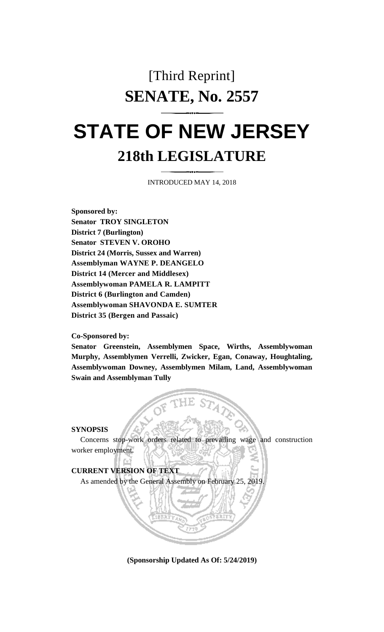## [Third Reprint] **SENATE, No. 2557**

# **STATE OF NEW JERSEY 218th LEGISLATURE**

INTRODUCED MAY 14, 2018

**Sponsored by: Senator TROY SINGLETON District 7 (Burlington) Senator STEVEN V. OROHO District 24 (Morris, Sussex and Warren) Assemblyman WAYNE P. DEANGELO District 14 (Mercer and Middlesex) Assemblywoman PAMELA R. LAMPITT District 6 (Burlington and Camden) Assemblywoman SHAVONDA E. SUMTER District 35 (Bergen and Passaic)**

#### **Co-Sponsored by:**

**Senator Greenstein, Assemblymen Space, Wirths, Assemblywoman Murphy, Assemblymen Verrelli, Zwicker, Egan, Conaway, Houghtaling, Assemblywoman Downey, Assemblymen Milam, Land, Assemblywoman Swain and Assemblyman Tully**

#### **SYNOPSIS**

Concerns stop-work orders related to prevailing wage and construction worker employment.



**(Sponsorship Updated As Of: 5/24/2019)**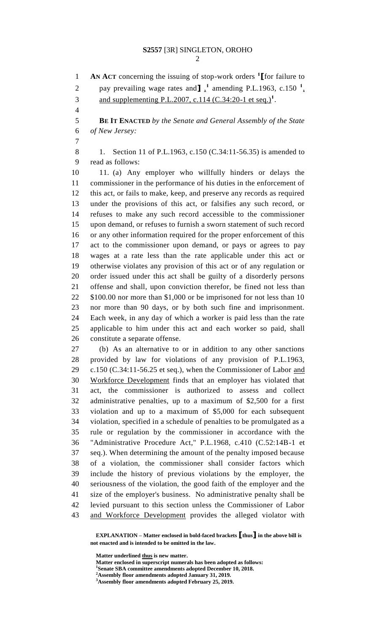**AN ACT** concerning the issuing of stop-work orders **<sup>1</sup> [**for failure to 2 pay prevailing wage rates and  $\int_2^1$  amending P.L.1963, c.150  $\frac{1}{2}$ and supplementing P.L.2007, c.114 (C.34:20-1 et seq.)**<sup>1</sup>** . **BE IT ENACTED** *by the Senate and General Assembly of the State of New Jersey:* 8 1. Section 11 of P.L.1963, c.150 (C.34:11-56.35) is amended to read as follows: 11. (a) Any employer who willfully hinders or delays the commissioner in the performance of his duties in the enforcement of this act, or fails to make, keep, and preserve any records as required under the provisions of this act, or falsifies any such record, or refuses to make any such record accessible to the commissioner upon demand, or refuses to furnish a sworn statement of such record or any other information required for the proper enforcement of this act to the commissioner upon demand, or pays or agrees to pay wages at a rate less than the rate applicable under this act or otherwise violates any provision of this act or of any regulation or order issued under this act shall be guilty of a disorderly persons offense and shall, upon conviction therefor, be fined not less than \$100.00 nor more than \$1,000 or be imprisoned for not less than 10 nor more than 90 days, or by both such fine and imprisonment. Each week, in any day of which a worker is paid less than the rate applicable to him under this act and each worker so paid, shall constitute a separate offense. (b) As an alternative to or in addition to any other sanctions provided by law for violations of any provision of P.L.1963, 29 c.150 (C.34:11-56.25 et seq.), when the Commissioner of Labor and Workforce Development finds that an employer has violated that act, the commissioner is authorized to assess and collect administrative penalties, up to a maximum of \$2,500 for a first violation and up to a maximum of \$5,000 for each subsequent violation, specified in a schedule of penalties to be promulgated as a rule or regulation by the commissioner in accordance with the "Administrative Procedure Act," P.L.1968, c.410 (C.52:14B-1 et seq.). When determining the amount of the penalty imposed because of a violation, the commissioner shall consider factors which include the history of previous violations by the employer, the seriousness of the violation, the good faith of the employer and the size of the employer's business. No administrative penalty shall be levied pursuant to this section unless the Commissioner of Labor 43 and Workforce Development provides the alleged violator with

**EXPLANATION – Matter enclosed in bold-faced brackets [thus] in the above bill is not enacted and is intended to be omitted in the law.**

**Matter underlined thus is new matter.**

**Matter enclosed in superscript numerals has been adopted as follows:**

**Senate SBA committee amendments adopted December 10, 2018.**

**Assembly floor amendments adopted January 31, 2019. Assembly floor amendments adopted February 25, 2019.**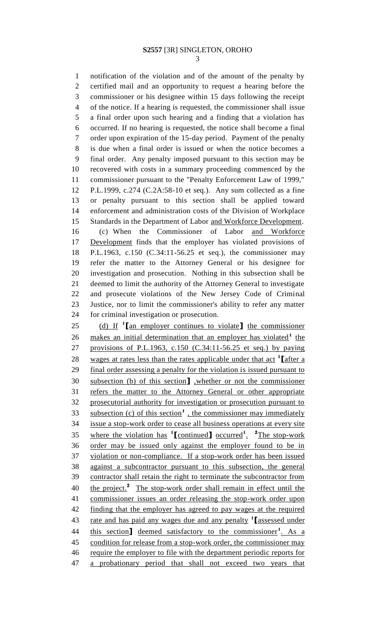notification of the violation and of the amount of the penalty by certified mail and an opportunity to request a hearing before the commissioner or his designee within 15 days following the receipt of the notice. If a hearing is requested, the commissioner shall issue a final order upon such hearing and a finding that a violation has occurred. If no hearing is requested, the notice shall become a final order upon expiration of the 15-day period. Payment of the penalty is due when a final order is issued or when the notice becomes a final order. Any penalty imposed pursuant to this section may be recovered with costs in a summary proceeding commenced by the commissioner pursuant to the "Penalty Enforcement Law of 1999," P.L.1999, c.274 (C.2A:58-10 et seq.). Any sum collected as a fine or penalty pursuant to this section shall be applied toward enforcement and administration costs of the Division of Workplace Standards in the Department of Labor and Workforce Development. (c) When the Commissioner of Labor and Workforce Development finds that the employer has violated provisions of P.L.1963, c.150 (C.34:11-56.25 et seq.), the commissioner may refer the matter to the Attorney General or his designee for investigation and prosecution. Nothing in this subsection shall be deemed to limit the authority of the Attorney General to investigate and prosecute violations of the New Jersey Code of Criminal Justice, nor to limit the commissioner's ability to refer any matter for criminal investigation or prosecution. (d) If **<sup>1</sup> [**an employer continues to violate**]** the commissioner 26 makes an initial determination that an employer has violated<sup>1</sup> the provisions of P.L.1963, c.150 (C.34:11-56.25 et seq.) by paying 28 wages at rates less than the rates applicable under that act <sup>1</sup> [after a 29 final order assessing a penalty for the violation is issued pursuant to subsection (b) of this section**]** ,whether or not the commissioner refers the matter to the Attorney General or other appropriate prosecutorial authority for investigation or prosecution pursuant to 33 subsection (c) of this section<sup>1</sup>, the commissioner may immediately issue a stop-work order to cease all business operations at every site 35 where the violation has <sup>1</sup>[continued] occurred<sup>1</sup>. <sup>2</sup>The stop-work order may be issued only against the employer found to be in violation or non-compliance. If a stop-work order has been issued against a subcontractor pursuant to this subsection, the general contractor shall retain the right to terminate the subcontractor from 40 the project.<sup>2</sup> The stop-work order shall remain in effect until the commissioner issues an order releasing the stop-work order upon finding that the employer has agreed to pay wages at the required rate and has paid any wages due and any penalty **<sup>1</sup> [**assessed under 44 this section<sub>1</sub> deemed satisfactory to the commissioner<sup>1</sup>. As a 45 condition for release from a stop-work order, the commissioner may require the employer to file with the department periodic reports for a probationary period that shall not exceed two years that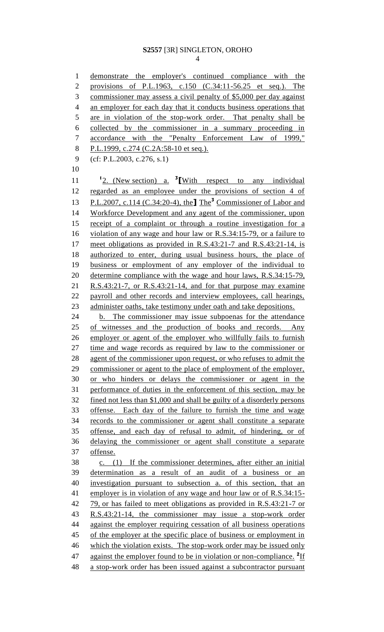demonstrate the employer's continued compliance with the provisions of P.L.1963, c.150 (C.34:11-56.25 et seq.). The commissioner may assess a civil penalty of \$5,000 per day against 4 an employer for each day that it conducts business operations that are in violation of the stop-work order. That penalty shall be collected by the commissioner in a summary proceeding in accordance with the "Penalty Enforcement Law of 1999," P.L.1999, c.274 (C.2A:58-10 et seq.). (cf: P.L.2003, c.276, s.1) 2. (New section) a. **<sup>3</sup> [**With respect to any individual regarded as an employee under the provisions of section 4 of P.L.2007, c.114 (C.34:20-4), the**]** The**<sup>3</sup>** Commissioner of Labor and Workforce Development and any agent of the commissioner, upon receipt of a complaint or through a routine investigation for a violation of any wage and hour law or R.S.34:15-79, or a failure to meet obligations as provided in R.S.43:21-7 and R.S.43:21-14, is authorized to enter, during usual business hours, the place of business or employment of any employer of the individual to determine compliance with the wage and hour laws, R.S.34:15-79, R.S.43:21-7, or R.S.43:21-14, and for that purpose may examine payroll and other records and interview employees, call hearings, administer oaths, take testimony under oath and take depositions. 24 b. The commissioner may issue subpoenas for the attendance of witnesses and the production of books and records. Any employer or agent of the employer who willfully fails to furnish time and wage records as required by law to the commissioner or agent of the commissioner upon request, or who refuses to admit the commissioner or agent to the place of employment of the employer, or who hinders or delays the commissioner or agent in the performance of duties in the enforcement of this section, may be fined not less than \$1,000 and shall be guilty of a disorderly persons offense. Each day of the failure to furnish the time and wage records to the commissioner or agent shall constitute a separate offense, and each day of refusal to admit, of hindering, or of delaying the commissioner or agent shall constitute a separate offense. c. (1) If the commissioner determines, after either an initial determination as a result of an audit of a business or an investigation pursuant to subsection a. of this section, that an employer is in violation of any wage and hour law or of R.S.34:15- 79, or has failed to meet obligations as provided in R.S.43:21-7 or R.S.43:21-14, the commissioner may issue a stop-work order against the employer requiring cessation of all business operations 45 of the employer at the specific place of business or employment in 46 which the violation exists. The stop-work order may be issued only 47 against the employer found to be in violation or non-compliance. <sup>2</sup>If a stop-work order has been issued against a subcontractor pursuant